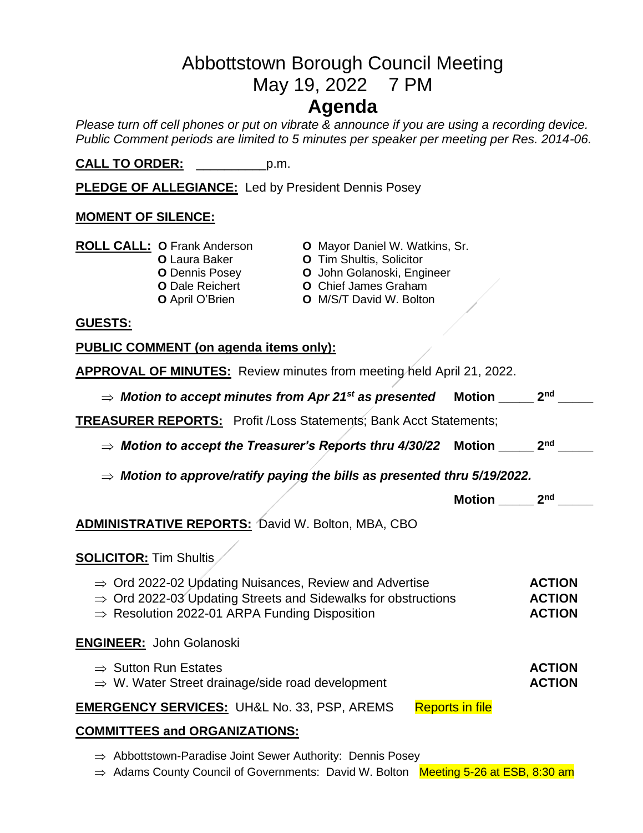# Abbottstown Borough Council Meeting May 19, 2022 7 PM **Agenda**

*Please turn off cell phones or put on vibrate & announce if you are using a recording device. Public Comment periods are limited to 5 minutes per speaker per meeting per Res. 2014-06.* 

**CALL TO ORDER:** \_\_\_\_\_\_\_\_\_\_p.m.

**PLEDGE OF ALLEGIANCE:** Led by President Dennis Posey

### **MOMENT OF SILENCE:**

|                                                                       | <b>ROLL CALL: O Frank Anderson</b><br><b>O</b> Laura Baker<br><b>O</b> Dennis Posey<br><b>O</b> Dale Reichert<br><b>O</b> April O'Brien | <b>O</b> Mayor Daniel W. Watkins, Sr.<br><b>O</b> Tim Shultis, Solicitor<br>O John Golanoski, Engineer<br><b>O</b> Chief James Graham<br><b>O</b> M/S/T David W. Bolton |  |  |
|-----------------------------------------------------------------------|-----------------------------------------------------------------------------------------------------------------------------------------|-------------------------------------------------------------------------------------------------------------------------------------------------------------------------|--|--|
| <b>GUESTS:</b>                                                        |                                                                                                                                         |                                                                                                                                                                         |  |  |
| PUBLIC COMMENT (on agenda items only):                                |                                                                                                                                         |                                                                                                                                                                         |  |  |
| APPROVAL OF MINUTES: Review minutes from meeting held April 21, 2022. |                                                                                                                                         |                                                                                                                                                                         |  |  |

| $\Rightarrow$ Motion to accept minutes from Apr 21st as presented                                                                                                                                            | Motion $\_$            | 2 <sub>nd</sub>                                 |  |  |
|--------------------------------------------------------------------------------------------------------------------------------------------------------------------------------------------------------------|------------------------|-------------------------------------------------|--|--|
| <b>TREASURER REPORTS:</b> Profit /Loss Statements; Bank Acct Statements;                                                                                                                                     |                        |                                                 |  |  |
| $\Rightarrow$ Motion to accept the Treasurer's Reports thru 4/30/22                                                                                                                                          | Motion                 | 2 <sub>nd</sub>                                 |  |  |
| $\Rightarrow$ Motion to approve/ratify paying the bills as presented thru 5/19/2022.                                                                                                                         |                        |                                                 |  |  |
|                                                                                                                                                                                                              | Motion                 | 2 <sub>nd</sub>                                 |  |  |
| <b>ADMINISTRATIVE REPORTS: David W. Bolton, MBA, CBO</b>                                                                                                                                                     |                        |                                                 |  |  |
| <b>SOLICITOR: Tim Shultis</b>                                                                                                                                                                                |                        |                                                 |  |  |
| $\Rightarrow$ Ord 2022-02 Updating Nuisances, Review and Advertise<br>$\Rightarrow$ Ord 2022-03 Updating Streets and Sidewalks for obstructions<br>$\Rightarrow$ Resolution 2022-01 ARPA Funding Disposition |                        | <b>ACTION</b><br><b>ACTION</b><br><b>ACTION</b> |  |  |
| <b>ENGINEER: John Golanoski</b>                                                                                                                                                                              |                        |                                                 |  |  |
| $\Rightarrow$ Sutton Run Estates<br>$\Rightarrow$ W. Water Street drainage/side road development                                                                                                             |                        | <b>ACTION</b><br><b>ACTION</b>                  |  |  |
| <b>EMERGENCY SERVICES: UH&amp;L No. 33, PSP, AREMS</b>                                                                                                                                                       | <b>Reports in file</b> |                                                 |  |  |
| <b>COMMITTEES and ORGANIZATIONS:</b>                                                                                                                                                                         |                        |                                                 |  |  |

- $\Rightarrow$  Abbottstown-Paradise Joint Sewer Authority: Dennis Posey
- $\Rightarrow$  Adams County Council of Governments: David W. Bolton Meeting 5-26 at ESB, 8:30 am